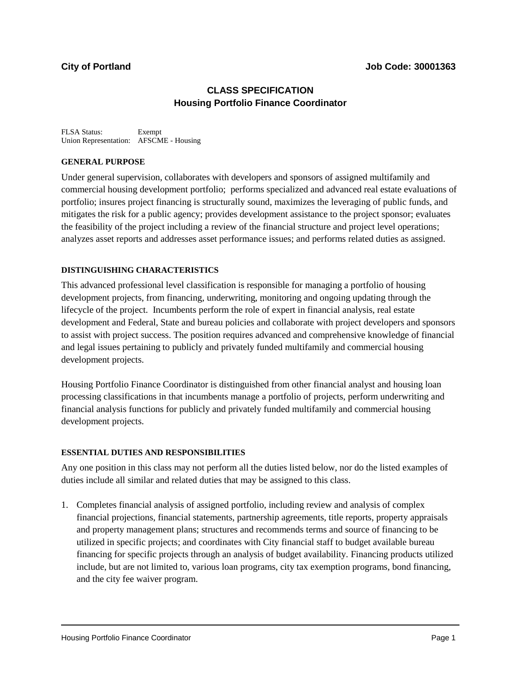# **CLASS SPECIFICATION Housing Portfolio Finance Coordinator**

FLSA Status: Exempt Union Representation: AFSCME - Housing

### **GENERAL PURPOSE**

Under general supervision, collaborates with developers and sponsors of assigned multifamily and commercial housing development portfolio; performs specialized and advanced real estate evaluations of portfolio; insures project financing is structurally sound, maximizes the leveraging of public funds, and mitigates the risk for a public agency; provides development assistance to the project sponsor; evaluates the feasibility of the project including a review of the financial structure and project level operations; analyzes asset reports and addresses asset performance issues; and performs related duties as assigned.

### **DISTINGUISHING CHARACTERISTICS**

This advanced professional level classification is responsible for managing a portfolio of housing development projects, from financing, underwriting, monitoring and ongoing updating through the lifecycle of the project. Incumbents perform the role of expert in financial analysis, real estate development and Federal, State and bureau policies and collaborate with project developers and sponsors to assist with project success. The position requires advanced and comprehensive knowledge of financial and legal issues pertaining to publicly and privately funded multifamily and commercial housing development projects.

Housing Portfolio Finance Coordinator is distinguished from other financial analyst and housing loan processing classifications in that incumbents manage a portfolio of projects, perform underwriting and financial analysis functions for publicly and privately funded multifamily and commercial housing development projects.

### **ESSENTIAL DUTIES AND RESPONSIBILITIES**

Any one position in this class may not perform all the duties listed below, nor do the listed examples of duties include all similar and related duties that may be assigned to this class.

1. Completes financial analysis of assigned portfolio, including review and analysis of complex financial projections, financial statements, partnership agreements, title reports, property appraisals and property management plans; structures and recommends terms and source of financing to be utilized in specific projects; and coordinates with City financial staff to budget available bureau financing for specific projects through an analysis of budget availability. Financing products utilized include, but are not limited to, various loan programs, city tax exemption programs, bond financing, and the city fee waiver program.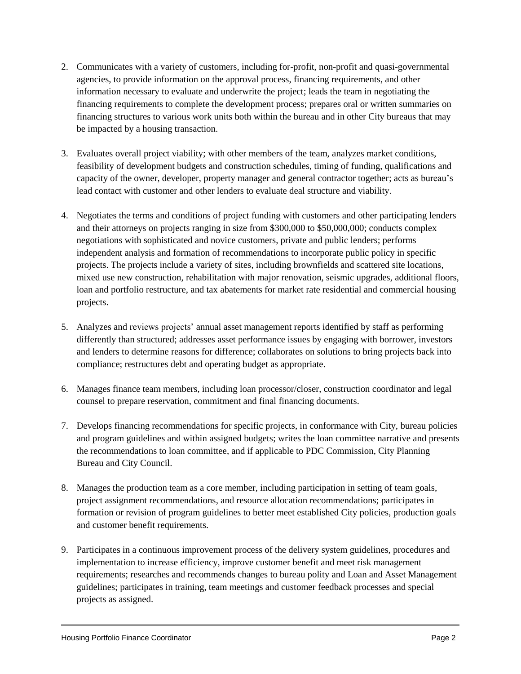- 2. Communicates with a variety of customers, including for-profit, non-profit and quasi-governmental agencies, to provide information on the approval process, financing requirements, and other information necessary to evaluate and underwrite the project; leads the team in negotiating the financing requirements to complete the development process; prepares oral or written summaries on financing structures to various work units both within the bureau and in other City bureaus that may be impacted by a housing transaction.
- 3. Evaluates overall project viability; with other members of the team, analyzes market conditions, feasibility of development budgets and construction schedules, timing of funding, qualifications and capacity of the owner, developer, property manager and general contractor together; acts as bureau's lead contact with customer and other lenders to evaluate deal structure and viability.
- 4. Negotiates the terms and conditions of project funding with customers and other participating lenders and their attorneys on projects ranging in size from \$300,000 to \$50,000,000; conducts complex negotiations with sophisticated and novice customers, private and public lenders; performs independent analysis and formation of recommendations to incorporate public policy in specific projects. The projects include a variety of sites, including brownfields and scattered site locations, mixed use new construction, rehabilitation with major renovation, seismic upgrades, additional floors, loan and portfolio restructure, and tax abatements for market rate residential and commercial housing projects.
- 5. Analyzes and reviews projects' annual asset management reports identified by staff as performing differently than structured; addresses asset performance issues by engaging with borrower, investors and lenders to determine reasons for difference; collaborates on solutions to bring projects back into compliance; restructures debt and operating budget as appropriate.
- 6. Manages finance team members, including loan processor/closer, construction coordinator and legal counsel to prepare reservation, commitment and final financing documents.
- 7. Develops financing recommendations for specific projects, in conformance with City, bureau policies and program guidelines and within assigned budgets; writes the loan committee narrative and presents the recommendations to loan committee, and if applicable to PDC Commission, City Planning Bureau and City Council.
- 8. Manages the production team as a core member, including participation in setting of team goals, project assignment recommendations, and resource allocation recommendations; participates in formation or revision of program guidelines to better meet established City policies, production goals and customer benefit requirements.
- 9. Participates in a continuous improvement process of the delivery system guidelines, procedures and implementation to increase efficiency, improve customer benefit and meet risk management requirements; researches and recommends changes to bureau polity and Loan and Asset Management guidelines; participates in training, team meetings and customer feedback processes and special projects as assigned.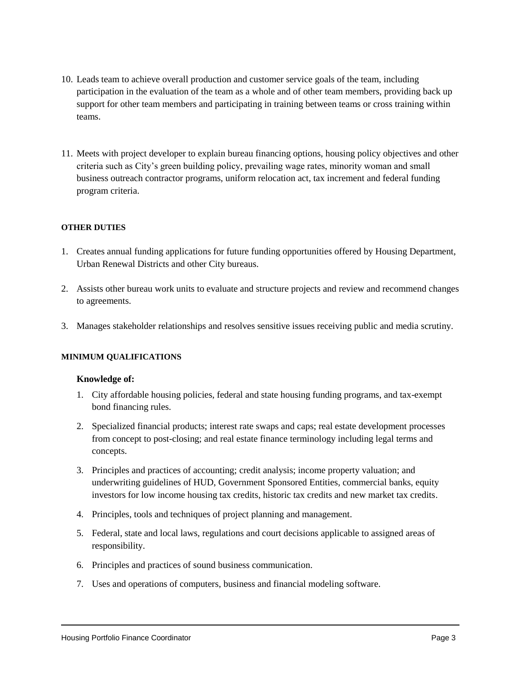- 10. Leads team to achieve overall production and customer service goals of the team, including participation in the evaluation of the team as a whole and of other team members, providing back up support for other team members and participating in training between teams or cross training within teams.
- 11. Meets with project developer to explain bureau financing options, housing policy objectives and other criteria such as City's green building policy, prevailing wage rates, minority woman and small business outreach contractor programs, uniform relocation act, tax increment and federal funding program criteria.

# **OTHER DUTIES**

- 1. Creates annual funding applications for future funding opportunities offered by Housing Department, Urban Renewal Districts and other City bureaus.
- 2. Assists other bureau work units to evaluate and structure projects and review and recommend changes to agreements.
- 3. Manages stakeholder relationships and resolves sensitive issues receiving public and media scrutiny.

### **MINIMUM QUALIFICATIONS**

#### **Knowledge of:**

- 1. City affordable housing policies, federal and state housing funding programs, and tax-exempt bond financing rules.
- 2. Specialized financial products; interest rate swaps and caps; real estate development processes from concept to post-closing; and real estate finance terminology including legal terms and concepts.
- 3. Principles and practices of accounting; credit analysis; income property valuation; and underwriting guidelines of HUD, Government Sponsored Entities, commercial banks, equity investors for low income housing tax credits, historic tax credits and new market tax credits.
- 4. Principles, tools and techniques of project planning and management.
- 5. Federal, state and local laws, regulations and court decisions applicable to assigned areas of responsibility.
- 6. Principles and practices of sound business communication.
- 7. Uses and operations of computers, business and financial modeling software.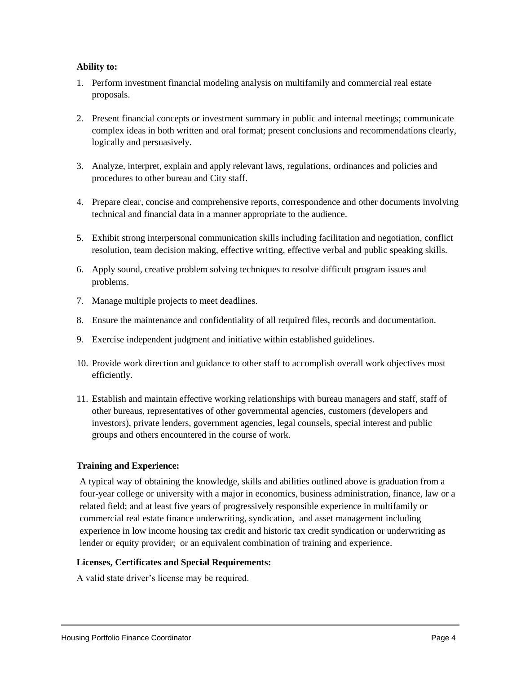# **Ability to:**

- 1. Perform investment financial modeling analysis on multifamily and commercial real estate proposals.
- 2. Present financial concepts or investment summary in public and internal meetings; communicate complex ideas in both written and oral format; present conclusions and recommendations clearly, logically and persuasively.
- 3. Analyze, interpret, explain and apply relevant laws, regulations, ordinances and policies and procedures to other bureau and City staff.
- 4. Prepare clear, concise and comprehensive reports, correspondence and other documents involving technical and financial data in a manner appropriate to the audience.
- 5. Exhibit strong interpersonal communication skills including facilitation and negotiation, conflict resolution, team decision making, effective writing, effective verbal and public speaking skills.
- 6. Apply sound, creative problem solving techniques to resolve difficult program issues and problems.
- 7. Manage multiple projects to meet deadlines.
- 8. Ensure the maintenance and confidentiality of all required files, records and documentation.
- 9. Exercise independent judgment and initiative within established guidelines.
- 10. Provide work direction and guidance to other staff to accomplish overall work objectives most efficiently.
- 11. Establish and maintain effective working relationships with bureau managers and staff, staff of other bureaus, representatives of other governmental agencies, customers (developers and investors), private lenders, government agencies, legal counsels, special interest and public groups and others encountered in the course of work.

# **Training and Experience:**

A typical way of obtaining the knowledge, skills and abilities outlined above is graduation from a four-year college or university with a major in economics, business administration, finance, law or a related field; and at least five years of progressively responsible experience in multifamily or commercial real estate finance underwriting, syndication, and asset management including experience in low income housing tax credit and historic tax credit syndication or underwriting as lender or equity provider; or an equivalent combination of training and experience.

### **Licenses, Certificates and Special Requirements:**

A valid state driver's license may be required.